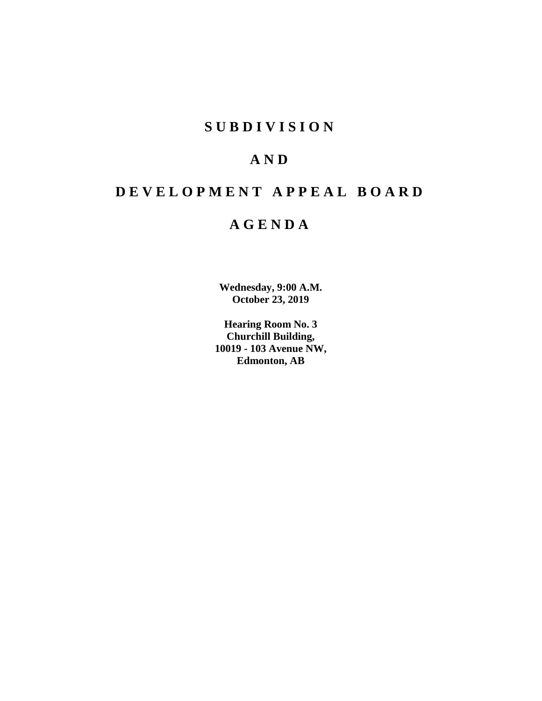## **SUBDIVISION**

## **AND**

# **DEVELOPMENT APPEAL BOARD**

## **AGENDA**

**Wednesday, 9:00 A.M. October 23, 2019**

**Hearing Room No. 3 Churchill Building, 10019 - 103 Avenue NW, Edmonton, AB**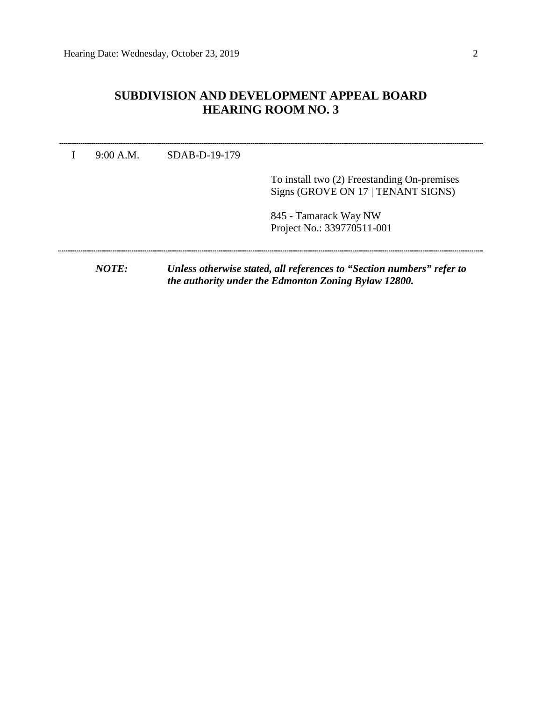## **SUBDIVISION AND DEVELOPMENT APPEAL BOARD HEARING ROOM NO. 3**

| NOTF:     |                 | Unless otherwise stated, all references to "Section numbers" refer to<br>the authority under the Edmonton Zoning Bylaw 12800. |  |  |
|-----------|-----------------|-------------------------------------------------------------------------------------------------------------------------------|--|--|
|           |                 | 845 - Tamarack Way NW<br>Project No.: 339770511-001                                                                           |  |  |
|           |                 | To install two (2) Freestanding On-premises<br>Signs (GROVE ON 17   TENANT SIGNS)                                             |  |  |
| 9:00 A.M. | $SDAB-D-19-179$ |                                                                                                                               |  |  |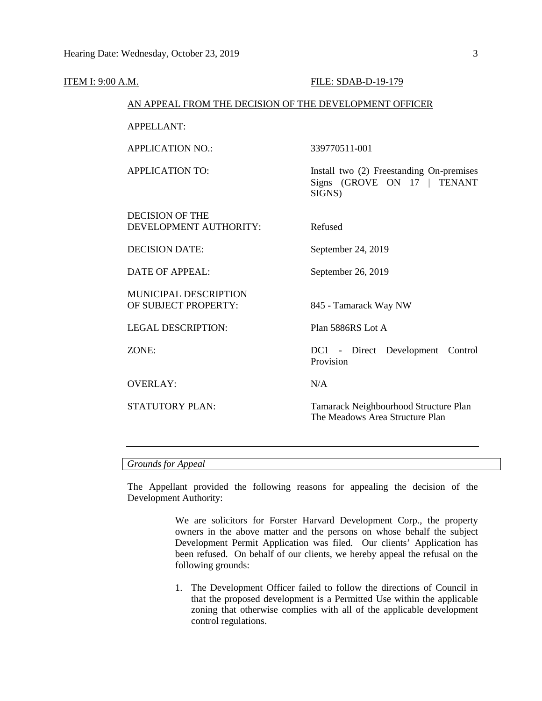| <u>ITEM I: 9:00 A.M.</u> |                                                        | FILE: SDAB-D-19-179                                                               |  |  |  |  |
|--------------------------|--------------------------------------------------------|-----------------------------------------------------------------------------------|--|--|--|--|
|                          | AN APPEAL FROM THE DECISION OF THE DEVELOPMENT OFFICER |                                                                                   |  |  |  |  |
|                          | <b>APPELLANT:</b>                                      |                                                                                   |  |  |  |  |
|                          | <b>APPLICATION NO.:</b>                                | 339770511-001                                                                     |  |  |  |  |
|                          | <b>APPLICATION TO:</b>                                 | Install two (2) Freestanding On-premises<br>Signs (GROVE ON 17   TENANT<br>SIGNS) |  |  |  |  |
|                          | <b>DECISION OF THE</b><br>DEVELOPMENT AUTHORITY:       | Refused                                                                           |  |  |  |  |
|                          | <b>DECISION DATE:</b>                                  | September 24, 2019                                                                |  |  |  |  |
|                          | <b>DATE OF APPEAL:</b>                                 | September 26, 2019                                                                |  |  |  |  |
|                          | MUNICIPAL DESCRIPTION<br>OF SUBJECT PROPERTY:          | 845 - Tamarack Way NW                                                             |  |  |  |  |
|                          | <b>LEGAL DESCRIPTION:</b>                              | Plan 5886RS Lot A                                                                 |  |  |  |  |
|                          | ZONE:                                                  | DC1 - Direct Development Control<br>Provision                                     |  |  |  |  |
|                          | <b>OVERLAY:</b>                                        | N/A                                                                               |  |  |  |  |
|                          | <b>STATUTORY PLAN:</b>                                 | Tamarack Neighbourhood Structure Plan<br>The Meadows Area Structure Plan          |  |  |  |  |
|                          |                                                        |                                                                                   |  |  |  |  |

#### *Grounds for Appeal*

The Appellant provided the following reasons for appealing the decision of the Development Authority:

> We are solicitors for Forster Harvard Development Corp., the property owners in the above matter and the persons on whose behalf the subject Development Permit Application was filed. Our clients' Application has been refused. On behalf of our clients, we hereby appeal the refusal on the following grounds:

> 1. The Development Officer failed to follow the directions of Council in that the proposed development is a Permitted Use within the applicable zoning that otherwise complies with all of the applicable development control regulations.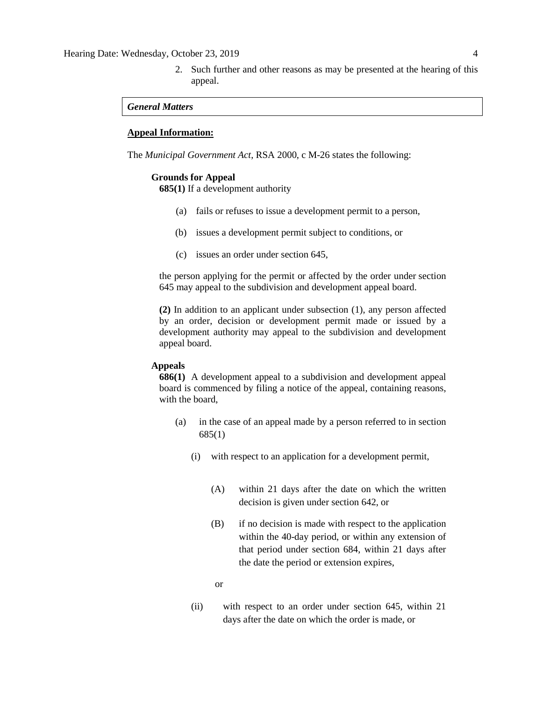2. Such further and other reasons as may be presented at the hearing of this appeal.

#### *General Matters*

#### **Appeal Information:**

The *Municipal Government Act*, RSA 2000, c M-26 states the following:

#### **Grounds for Appeal**

**685(1)** If a development authority

- (a) fails or refuses to issue a development permit to a person,
- (b) issues a development permit subject to conditions, or
- (c) issues an order under section 645,

the person applying for the permit or affected by the order under section 645 may appeal to the subdivision and development appeal board.

**(2)** In addition to an applicant under subsection (1), any person affected by an order, decision or development permit made or issued by a development authority may appeal to the subdivision and development appeal board.

#### **Appeals**

**686(1)** A development appeal to a subdivision and development appeal board is commenced by filing a notice of the appeal, containing reasons, with the board,

- (a) in the case of an appeal made by a person referred to in section 685(1)
	- (i) with respect to an application for a development permit,
		- (A) within 21 days after the date on which the written decision is given under section 642, or
		- (B) if no decision is made with respect to the application within the 40-day period, or within any extension of that period under section 684, within 21 days after the date the period or extension expires,

or

(ii) with respect to an order under section 645, within 21 days after the date on which the order is made, or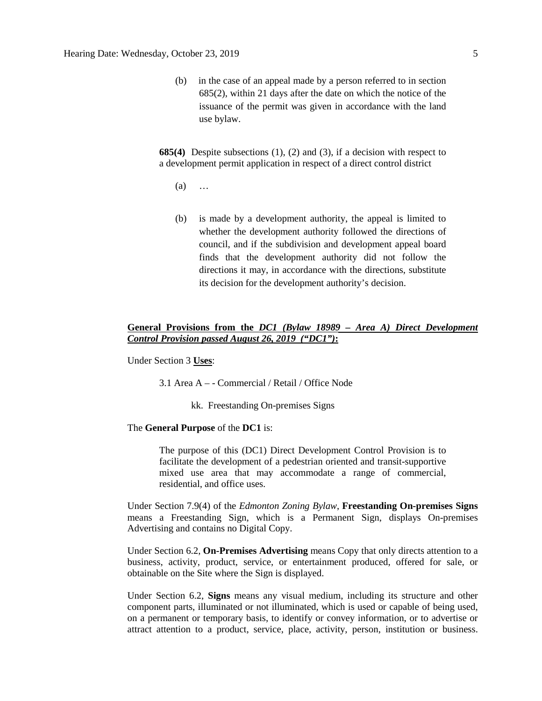(b) in the case of an appeal made by a person referred to in section 685(2), within 21 days after the date on which the notice of the issuance of the permit was given in accordance with the land use bylaw.

**685(4)** Despite subsections (1), (2) and (3), if a decision with respect to a development permit application in respect of a direct control district

- (a) …
- (b) is made by a development authority, the appeal is limited to whether the development authority followed the directions of council, and if the subdivision and development appeal board finds that the development authority did not follow the directions it may, in accordance with the directions, substitute its decision for the development authority's decision.

#### **General Provisions from the** *DC1 (Bylaw 18989 – Area A) Direct Development Control Provision passed August 26, 2019 ("DC1")***:**

Under Section 3 **Uses**:

3.1 Area A – - Commercial / Retail / Office Node

kk. Freestanding On-premises Signs

#### The **General Purpose** of the **DC1** is:

The purpose of this (DC1) Direct Development Control Provision is to facilitate the development of a pedestrian oriented and transit-supportive mixed use area that may accommodate a range of commercial, residential, and office uses.

Under Section 7.9(4) of the *Edmonton Zoning Bylaw*, **Freestanding On-premises Signs** means a Freestanding Sign, which is a Permanent Sign, displays On-premises Advertising and contains no Digital Copy.

Under Section 6.2, **On-Premises Advertising** means Copy that only directs attention to a business, activity, product, service, or entertainment produced, offered for sale, or obtainable on the Site where the Sign is displayed.

Under Section 6.2, **Signs** means any visual medium, including its structure and other component parts, illuminated or not illuminated, which is used or capable of being used, on a permanent or temporary basis, to identify or convey information, or to advertise or attract attention to a product, service, place, activity, person, institution or business.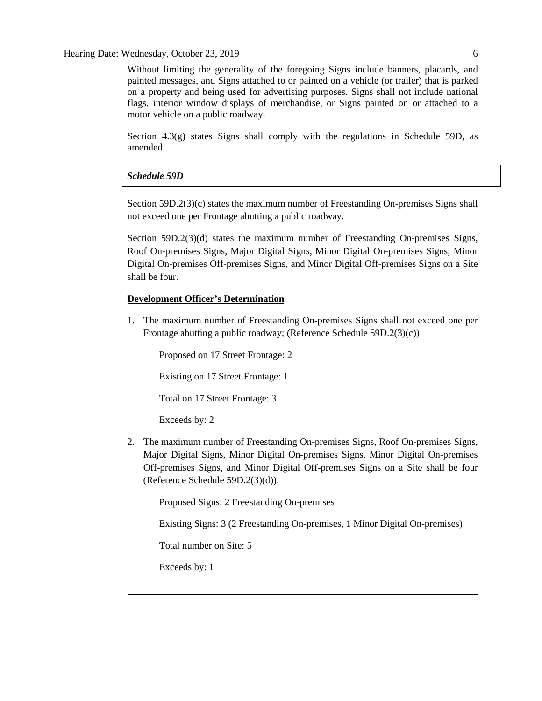Without limiting the generality of the foregoing Signs include banners, placards, and painted messages, and Signs attached to or painted on a vehicle (or trailer) that is parked on a property and being used for advertising purposes. Signs shall not include national flags, interior window displays of merchandise, or Signs painted on or attached to a motor vehicle on a public roadway.

Section 4.3(g) states Signs shall comply with the regulations in Schedule 59D, as amended.

#### *Schedule 59D*

Section 59D.2(3)(c) states the maximum number of Freestanding On-premises Signs shall not exceed one per Frontage abutting a public roadway.

Section 59D.2(3)(d) states the maximum number of Freestanding On-premises Signs, Roof On-premises Signs, Major Digital Signs, Minor Digital On-premises Signs, Minor Digital On-premises Off-premises Signs, and Minor Digital Off-premises Signs on a Site shall be four.

#### **Development Officer's Determination**

1. The maximum number of Freestanding On-premises Signs shall not exceed one per Frontage abutting a public roadway; (Reference Schedule 59D.2(3)(c))

Proposed on 17 Street Frontage: 2

Existing on 17 Street Frontage: 1

Total on 17 Street Frontage: 3

Exceeds by: 2

2. The maximum number of Freestanding On-premises Signs, Roof On-premises Signs, Major Digital Signs, Minor Digital On-premises Signs, Minor Digital On-premises Off-premises Signs, and Minor Digital Off-premises Signs on a Site shall be four (Reference Schedule 59D.2(3)(d)).

Proposed Signs: 2 Freestanding On-premises

Existing Signs: 3 (2 Freestanding On-premises, 1 Minor Digital On-premises)

Total number on Site: 5

Exceeds by: 1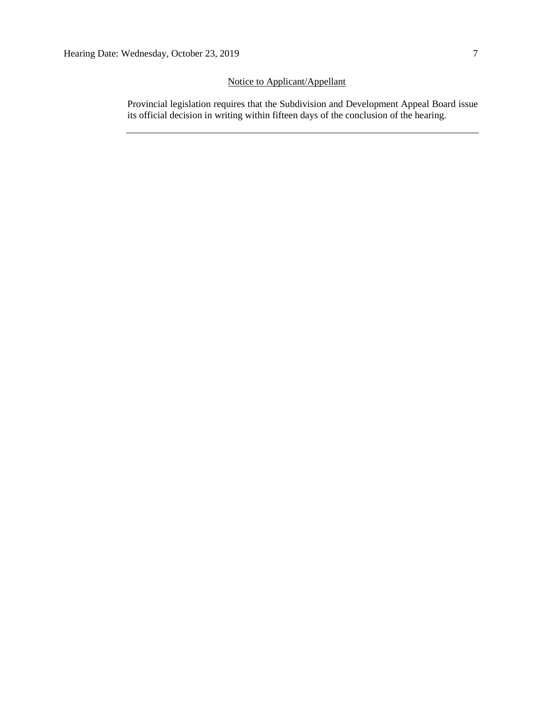### Notice to Applicant/Appellant

Provincial legislation requires that the Subdivision and Development Appeal Board issue its official decision in writing within fifteen days of the conclusion of the hearing.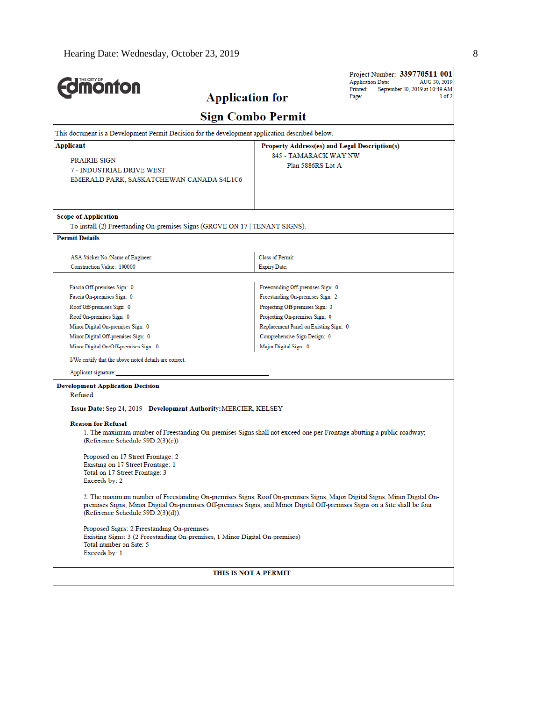| <b>monton</b>                                                                                                                                                   |                                               | Project Number: 339770511-001<br><b>Application Date:</b><br>AUG 30, 2019<br>Printed:<br>September 30, 2019 at 10:49 AM |  |  |  |  |  |  |  |
|-----------------------------------------------------------------------------------------------------------------------------------------------------------------|-----------------------------------------------|-------------------------------------------------------------------------------------------------------------------------|--|--|--|--|--|--|--|
| <b>Application for</b>                                                                                                                                          |                                               | Page:<br>1 of 2                                                                                                         |  |  |  |  |  |  |  |
| <b>Sign Combo Permit</b>                                                                                                                                        |                                               |                                                                                                                         |  |  |  |  |  |  |  |
| This document is a Development Permit Decision for the development application described below.                                                                 |                                               |                                                                                                                         |  |  |  |  |  |  |  |
| Applicant                                                                                                                                                       | Property Address(es) and Legal Description(s) |                                                                                                                         |  |  |  |  |  |  |  |
| PRAIRIE SIGN                                                                                                                                                    | 845 - TAMARACK WAY NW                         |                                                                                                                         |  |  |  |  |  |  |  |
| 7 - INDUSTRIAL DRIVE WEST                                                                                                                                       | Plan 5886RS Lot A                             |                                                                                                                         |  |  |  |  |  |  |  |
| EMERALD PARK, SASKATCHEWAN CANADA S4L1C6                                                                                                                        |                                               |                                                                                                                         |  |  |  |  |  |  |  |
|                                                                                                                                                                 |                                               |                                                                                                                         |  |  |  |  |  |  |  |
| <b>Scope of Application</b>                                                                                                                                     |                                               |                                                                                                                         |  |  |  |  |  |  |  |
| To install (2) Freestanding On-premises Signs (GROVE ON 17 TENANT SIGNS).                                                                                       |                                               |                                                                                                                         |  |  |  |  |  |  |  |
| <b>Permit Details</b>                                                                                                                                           |                                               |                                                                                                                         |  |  |  |  |  |  |  |
|                                                                                                                                                                 |                                               |                                                                                                                         |  |  |  |  |  |  |  |
| ASA Sticker No./Name of Engineer:                                                                                                                               | <b>Class of Permit:</b>                       |                                                                                                                         |  |  |  |  |  |  |  |
| Construction Value: 100000                                                                                                                                      | <b>Expiry Date:</b>                           |                                                                                                                         |  |  |  |  |  |  |  |
| Fascia Off-premises Sign: 0                                                                                                                                     | Freestanding Off-premises Sign: 0             |                                                                                                                         |  |  |  |  |  |  |  |
| Fascia On-premises Sign: 0                                                                                                                                      | Freestanding On-premises Sign: 2              |                                                                                                                         |  |  |  |  |  |  |  |
| Roof Off-premises Sign: 0                                                                                                                                       | Projecting Off-premises Sign: 0               |                                                                                                                         |  |  |  |  |  |  |  |
| Roof On-premises Sign: 0                                                                                                                                        | Projecting On-premises Sign: 0                |                                                                                                                         |  |  |  |  |  |  |  |
| Minor Digital On-premises Sign: 0                                                                                                                               | Replacement Panel on Existing Sign: 0         |                                                                                                                         |  |  |  |  |  |  |  |
| Minor Digital Off-premises Sign: 0                                                                                                                              | Comprehensive Sign Design: 0                  |                                                                                                                         |  |  |  |  |  |  |  |
| Minor Digital On/Off-premises Sign: 0                                                                                                                           | Major Digital Sign: 0                         |                                                                                                                         |  |  |  |  |  |  |  |
| I/We certify that the above noted details are correct.                                                                                                          |                                               |                                                                                                                         |  |  |  |  |  |  |  |
| Applicant signature:                                                                                                                                            |                                               |                                                                                                                         |  |  |  |  |  |  |  |
| <b>Development Application Decision</b>                                                                                                                         |                                               |                                                                                                                         |  |  |  |  |  |  |  |
| Refused                                                                                                                                                         |                                               |                                                                                                                         |  |  |  |  |  |  |  |
| Issue Date: Sep 24, 2019 Development Authority: MERCIER, KELSEY                                                                                                 |                                               |                                                                                                                         |  |  |  |  |  |  |  |
|                                                                                                                                                                 |                                               |                                                                                                                         |  |  |  |  |  |  |  |
| <b>Reason for Refusal</b><br>1. The maximum number of Freestanding On-premises Signs shall not exceed one per Frontage abutting a public roadway;               |                                               |                                                                                                                         |  |  |  |  |  |  |  |
| (Reference Schedule 59D.2(3)(c))                                                                                                                                |                                               |                                                                                                                         |  |  |  |  |  |  |  |
|                                                                                                                                                                 |                                               |                                                                                                                         |  |  |  |  |  |  |  |
| Proposed on 17 Street Frontage: 2<br>Existing on 17 Street Frontage: 1                                                                                          |                                               |                                                                                                                         |  |  |  |  |  |  |  |
| Total on 17 Street Frontage: 3                                                                                                                                  |                                               |                                                                                                                         |  |  |  |  |  |  |  |
| Exceeds by: 2                                                                                                                                                   |                                               |                                                                                                                         |  |  |  |  |  |  |  |
| 2. The maximum number of Freestanding On-premises Signs, Roof On-premises Signs, Major Digital Signs, Minor Digital On-                                         |                                               |                                                                                                                         |  |  |  |  |  |  |  |
| premises Signs, Minor Digital On-premises Off-premises Signs, and Minor Digital Off-premises Signs on a Site shall be four<br>(Reference Schedule 59D.2(3)(d)). |                                               |                                                                                                                         |  |  |  |  |  |  |  |
| Proposed Signs: 2 Freestanding On-premises<br>Existing Signs: 3 (2 Freestanding On-premises, 1 Minor Digital On-premises)<br>Total number on Site: 5            |                                               |                                                                                                                         |  |  |  |  |  |  |  |
| Exceeds by: 1                                                                                                                                                   |                                               |                                                                                                                         |  |  |  |  |  |  |  |
| THIS IS NOT A PERMIT                                                                                                                                            |                                               |                                                                                                                         |  |  |  |  |  |  |  |
|                                                                                                                                                                 |                                               |                                                                                                                         |  |  |  |  |  |  |  |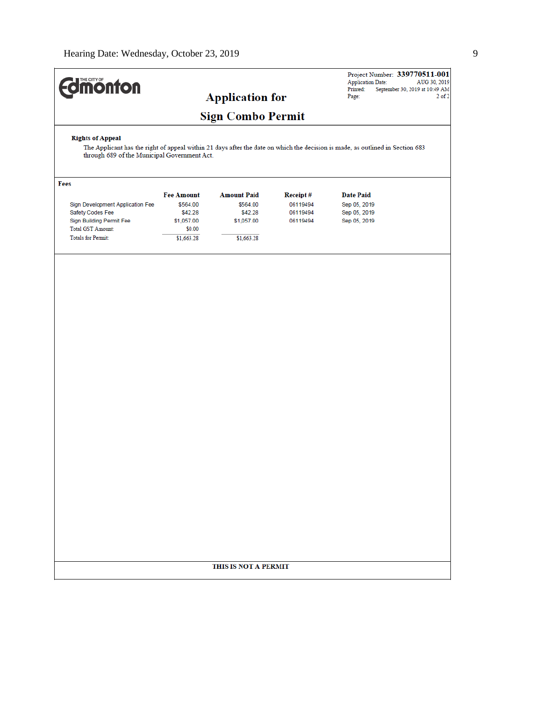# **Edmonton**

## **Application for**

## **Sign Combo Permit**

#### **Rights of Appeal**

The Applicant has the right of appeal within 21 days after the date on which the decision is made, as outlined in Section 683 through 689 of the Municipal Government Act.

| Fees                             |                   |                    |          |                  |
|----------------------------------|-------------------|--------------------|----------|------------------|
|                                  | <b>Fee Amount</b> | <b>Amount Paid</b> | Receipt# | <b>Date Paid</b> |
| Sign Development Application Fee | \$564.00          | \$564.00           | 06119494 | Sep 05, 2019     |
| Safety Codes Fee                 | \$42.28           | \$42.28            | 06119494 | Sep 05, 2019     |
| Sign Building Permit Fee         | \$1,057.00        | \$1,057.00         | 06119494 | Sep 05, 2019     |
| <b>Total GST Amount:</b>         | \$0.00            |                    |          |                  |
| <b>Totals for Permit:</b>        | \$1,663.28        | \$1,663.28         |          |                  |
|                                  |                   |                    |          |                  |

#### THIS IS NOT A PERMIT

Project Number: 339770511-001 Project Number: **339770511-001**<br>Application Date: AUG 30, 2019<br>Printed: September 30, 2019 at 10:49 AM<br>Page: 2 of 2